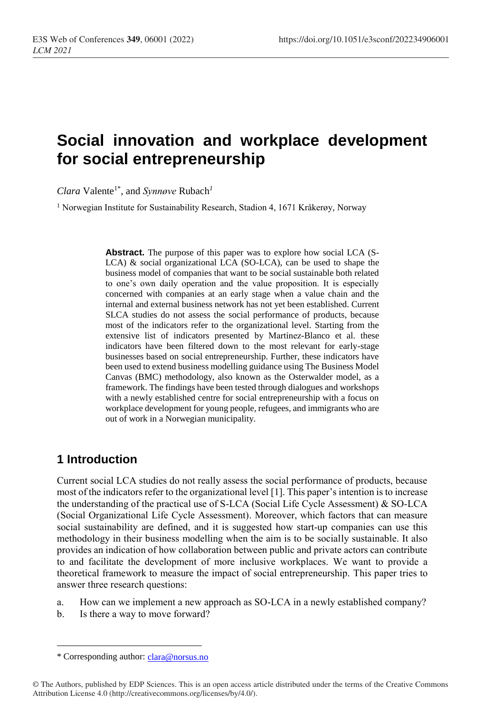# **Social innovation and workplace development for social entrepreneurship**

*Clara* Valente1\* *,* and *Synnøve* Rubach*<sup>1</sup>*

<sup>1</sup> Norwegian Institute for Sustainability Research, Stadion 4, 1671 Kråkerøy, Norway

**Abstract.** The purpose of this paper was to explore how social LCA (S-LCA) & social organizational LCA (SO-LCA), can be used to shape the business model of companies that want to be social sustainable both related to one's own daily operation and the value proposition. It is especially concerned with companies at an early stage when a value chain and the internal and external business network has not yet been established. Current SLCA studies do not assess the social performance of products, because most of the indicators refer to the organizational level. Starting from the extensive list of indicators presented by Martínez-Blanco et al. these indicators have been filtered down to the most relevant for early-stage businesses based on social entrepreneurship. Further, these indicators have been used to extend business modelling guidance using The Business Model Canvas (BMC) methodology, also known as the Osterwalder model, as a framework. The findings have been tested through dialogues and workshops with a newly established centre for social entrepreneurship with a focus on workplace development for young people, refugees, and immigrants who are out of work in a Norwegian municipality.

#### **1 Introduction**

 $\overline{a}$ 

Current social LCA studies do not really assess the social performance of products, because most of the indicators refer to the organizational level [1]. This paper's intention is to increase the understanding of the practical use of S-LCA (Social Life Cycle Assessment) & SO-LCA (Social Organizational Life Cycle Assessment). Moreover, which factors that can measure social sustainability are defined, and it is suggested how start-up companies can use this methodology in their business modelling when the aim is to be socially sustainable. It also provides an indication of how collaboration between public and private actors can contribute to and facilitate the development of more inclusive workplaces. We want to provide a theoretical framework to measure the impact of social entrepreneurship. This paper tries to answer three research questions:

- a. How can we implement a new approach as SO-LCA in a newly established company?
- b. Is there a way to move forward?

<sup>\*</sup> Corresponding author: [clara@norsus.no](mailto:clara@norsus.no)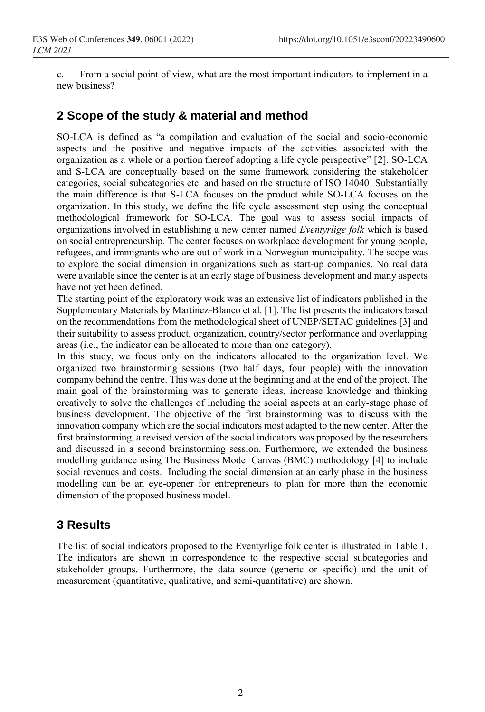c. From a social point of view, what are the most important indicators to implement in a new business?

#### **2 Scope of the study & material and method**

SO-LCA is defined as "a compilation and evaluation of the social and socio-economic aspects and the positive and negative impacts of the activities associated with the organization as a whole or a portion thereof adopting a life cycle perspective" [2]. SO-LCA and S-LCA are conceptually based on the same framework considering the stakeholder categories, social subcategories etc. and based on the structure of ISO 14040. Substantially the main difference is that S-LCA focuses on the product while SO-LCA focuses on the organization. In this study, we define the life cycle assessment step using the conceptual methodological framework for SO-LCA. The goal was to assess social impacts of organizations involved in establishing a new center named *Eventyrlige folk* which is based on social entrepreneurship*.* The center focuses on workplace development for young people, refugees, and immigrants who are out of work in a Norwegian municipality. The scope was to explore the social dimension in organizations such as start-up companies. No real data were available since the center is at an early stage of business development and many aspects have not yet been defined.

The starting point of the exploratory work was an extensive list of indicators published in the Supplementary Materials by Martínez-Blanco et al. [1]. The list presents the indicators based on the recommendations from the methodological sheet of UNEP/SETAC guidelines [3] and their suitability to assess product, organization, country/sector performance and overlapping areas (i.e., the indicator can be allocated to more than one category).

In this study, we focus only on the indicators allocated to the organization level. We organized two brainstorming sessions (two half days, four people) with the innovation company behind the centre. This was done at the beginning and at the end of the project. The main goal of the brainstorming was to generate ideas, increase knowledge and thinking creatively to solve the challenges of including the social aspects at an early-stage phase of business development. The objective of the first brainstorming was to discuss with the innovation company which are the social indicators most adapted to the new center. After the first brainstorming, a revised version of the social indicators was proposed by the researchers and discussed in a second brainstorming session. Furthermore, we extended the business modelling guidance using The Business Model Canvas (BMC) methodology [4] to include social revenues and costs. Including the social dimension at an early phase in the business modelling can be an eye-opener for entrepreneurs to plan for more than the economic dimension of the proposed business model.

# **3 Results**

The list of social indicators proposed to the Eventyrlige folk center is illustrated in Table 1. The indicators are shown in correspondence to the respective social subcategories and stakeholder groups. Furthermore, the data source (generic or specific) and the unit of measurement (quantitative, qualitative, and semi-quantitative) are shown.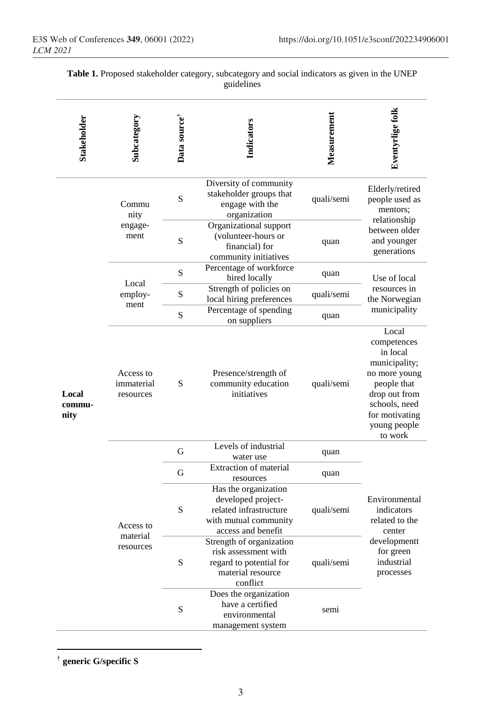| <b>Stakeholder</b>      | Subcategory                          | Data source <sup>†</sup> | Indicators                                                                                                          | Measurement | Eventyrlige folk                                                                                                                                                 |  |
|-------------------------|--------------------------------------|--------------------------|---------------------------------------------------------------------------------------------------------------------|-------------|------------------------------------------------------------------------------------------------------------------------------------------------------------------|--|
| Local<br>commu-<br>nity | Commu<br>nity<br>engage-<br>ment     | S                        | Diversity of community<br>stakeholder groups that<br>engage with the<br>organization                                | quali/semi  | Elderly/retired<br>people used as<br>mentors;<br>relationship                                                                                                    |  |
|                         |                                      | S                        | Organizational support<br>(volunteer-hours or<br>financial) for<br>community initiatives                            | quan        | between older<br>and younger<br>generations                                                                                                                      |  |
|                         | Local<br>employ-<br>ment             | ${\bf S}$                | Percentage of workforce<br>hired locally                                                                            | quan        | Use of local                                                                                                                                                     |  |
|                         |                                      | ${\bf S}$                | Strength of policies on<br>local hiring preferences                                                                 | quali/semi  | resources in<br>the Norwegian                                                                                                                                    |  |
|                         |                                      | $\mathbf S$              | Percentage of spending<br>on suppliers                                                                              | quan        | municipality                                                                                                                                                     |  |
|                         | Access to<br>immaterial<br>resources | ${\bf S}$                | Presence/strength of<br>community education<br>initiatives                                                          | quali/semi  | Local<br>competences<br>in local<br>municipality;<br>no more young<br>people that<br>drop out from<br>schools, need<br>for motivating<br>young people<br>to work |  |
|                         | Access to<br>material<br>resources   | G                        | Levels of industrial<br>water use                                                                                   | quan        |                                                                                                                                                                  |  |
|                         |                                      | G                        | Extraction of material<br>resources                                                                                 | quan        |                                                                                                                                                                  |  |
|                         |                                      | S                        | Has the organization<br>developed project-<br>related infrastructure<br>with mutual community<br>access and benefit | quali/semi  | Environmental<br>indicators<br>related to the<br>center<br>developmentt<br>for green<br>industrial<br>processes                                                  |  |
|                         |                                      | ${\bf S}$                | Strength of organization<br>risk assessment with<br>regard to potential for<br>material resource<br>conflict        | quali/semi  |                                                                                                                                                                  |  |
|                         |                                      | S                        | Does the organization<br>have a certified<br>environmental<br>management system                                     | semi        |                                                                                                                                                                  |  |

|  |  | Table 1. Proposed stakeholder category, subcategory and social indicators as given in the UNEP |  |  |  |
|--|--|------------------------------------------------------------------------------------------------|--|--|--|
|  |  | guidelines                                                                                     |  |  |  |

 †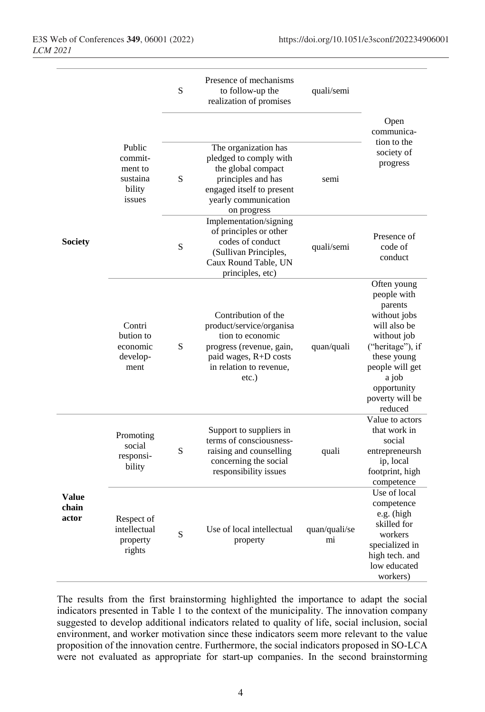|                                |                                                              | S | Presence of mechanisms<br>to follow-up the<br>realization of promises                                                                                           | quali/semi          |                                                                                                                                                                                                  |
|--------------------------------|--------------------------------------------------------------|---|-----------------------------------------------------------------------------------------------------------------------------------------------------------------|---------------------|--------------------------------------------------------------------------------------------------------------------------------------------------------------------------------------------------|
|                                |                                                              |   |                                                                                                                                                                 |                     | Open<br>communica-                                                                                                                                                                               |
|                                | Public<br>commit-<br>ment to<br>sustaina<br>bility<br>issues | S | The organization has<br>pledged to comply with<br>the global compact<br>principles and has<br>engaged itself to present<br>yearly communication<br>on progress  | semi                | tion to the<br>society of<br>progress                                                                                                                                                            |
| <b>Society</b>                 |                                                              | S | Implementation/signing<br>of principles or other<br>codes of conduct<br>(Sullivan Principles,<br>Caux Round Table, UN<br>principles, etc)                       | quali/semi          | Presence of<br>code of<br>conduct                                                                                                                                                                |
|                                | Contri<br>bution to<br>economic<br>develop-<br>ment          | S | Contribution of the<br>product/service/organisa<br>tion to economic<br>progress (revenue, gain,<br>paid wages, R+D costs<br>in relation to revenue.<br>$etc.$ ) | quan/quali          | Often young<br>people with<br>parents<br>without jobs<br>will also be<br>without job<br>("heritage"), if<br>these young<br>people will get<br>a job<br>opportunity<br>poverty will be<br>reduced |
| <b>Value</b><br>chain<br>actor | Promoting<br>social<br>responsi-<br>bility                   | S | Support to suppliers in<br>terms of consciousness-<br>raising and counselling<br>concerning the social<br>responsibility issues                                 | quali               | Value to actors<br>that work in<br>social<br>entrepreneursh<br>ip, local<br>footprint, high<br>competence                                                                                        |
|                                | Respect of<br>intellectual<br>property<br>rights             | S | Use of local intellectual<br>property                                                                                                                           | quan/quali/se<br>mi | Use of local<br>competence<br>e.g. (high<br>skilled for<br>workers<br>specialized in<br>high tech. and<br>low educated<br>workers)                                                               |

The results from the first brainstorming highlighted the importance to adapt the social indicators presented in Table 1 to the context of the municipality. The innovation company suggested to develop additional indicators related to quality of life, social inclusion, social environment, and worker motivation since these indicators seem more relevant to the value proposition of the innovation centre. Furthermore, the social indicators proposed in SO-LCA were not evaluated as appropriate for start-up companies. In the second brainstorming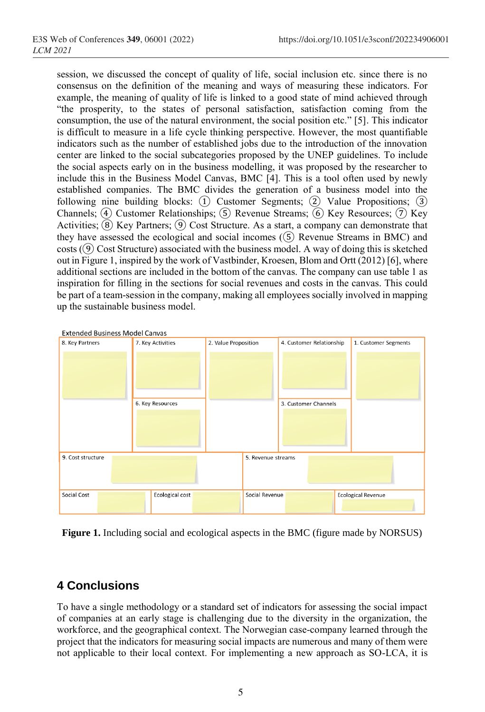session, we discussed the concept of quality of life, social inclusion etc. since there is no consensus on the definition of the meaning and ways of measuring these indicators. For example, the meaning of quality of life is linked to a good state of mind achieved through "the prosperity, to the states of personal satisfaction, satisfaction coming from the consumption, the use of the natural environment, the social position etc." [5]. This indicator is difficult to measure in a life cycle thinking perspective. However, the most quantifiable indicators such as the number of established jobs due to the introduction of the innovation center are linked to the social subcategories proposed by the UNEP guidelines. To include the social aspects early on in the business modelling, it was proposed by the researcher to include this in the Business Model Canvas, BMC [4]. This is a tool often used by newly established companies. The BMC divides the generation of a business model into the following nine building blocks:  $(1)$  Customer Segments;  $(2)$  Value Propositions;  $(3)$ Channels; (4) Customer Relationships; (5) Revenue Streams; (6) Key Resources; (7) Key Activities;  $\circled{8}$  Key Partners;  $\circled{9}$  Cost Structure. As a start, a company can demonstrate that they have assessed the ecological and social incomes  $(\overline{S})$  Revenue Streams in BMC) and  $costs$  ( $\Theta$ ) Cost Structure) associated with the business model. A way of doing this is sketched out in Figure 1, inspired by the work of Vastbinder, Kroesen, Blom and Ortt (2012) [6], where additional sections are included in the bottom of the canvas. The company can use table 1 as inspiration for filling in the sections for social revenues and costs in the canvas. This could be part of a team-session in the company, making all employees socially involved in mapping up the sustainable business model.



**Figure 1.** Including social and ecological aspects in the BMC (figure made by NORSUS)

# **4 Conclusions**

To have a single methodology or a standard set of indicators for assessing the social impact of companies at an early stage is challenging due to the diversity in the organization, the workforce, and the geographical context. The Norwegian case-company learned through the project that the indicators for measuring social impacts are numerous and many of them were not applicable to their local context. For implementing a new approach as SO-LCA, it is